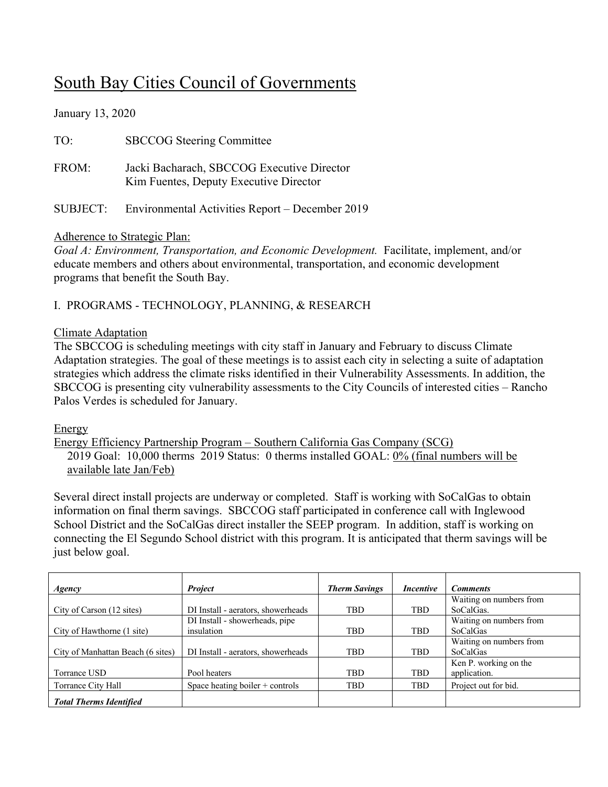# South Bay Cities Council of Governments

January 13, 2020

| TO:   | <b>SBCCOG</b> Steering Committee                                                     |
|-------|--------------------------------------------------------------------------------------|
| FROM: | Jacki Bacharach, SBCCOG Executive Director<br>Kim Fuentes, Deputy Executive Director |
|       | SUBJECT: Environmental Activities Report – December 2019                             |

#### Adherence to Strategic Plan:

*Goal A: Environment, Transportation, and Economic Development.* Facilitate, implement, and/or educate members and others about environmental, transportation, and economic development programs that benefit the South Bay.

# I. PROGRAMS - TECHNOLOGY, PLANNING, & RESEARCH

## Climate Adaptation

The SBCCOG is scheduling meetings with city staff in January and February to discuss Climate Adaptation strategies. The goal of these meetings is to assist each city in selecting a suite of adaptation strategies which address the climate risks identified in their Vulnerability Assessments. In addition, the SBCCOG is presenting city vulnerability assessments to the City Councils of interested cities – Rancho Palos Verdes is scheduled for January.

## Energy

Energy Efficiency Partnership Program – Southern California Gas Company (SCG) 2019 Goal: 10,000 therms 2019 Status: 0 therms installed GOAL: 0% (final numbers will be available late Jan/Feb)

Several direct install projects are underway or completed. Staff is working with SoCalGas to obtain information on final therm savings. SBCCOG staff participated in conference call with Inglewood School District and the SoCalGas direct installer the SEEP program. In addition, staff is working on connecting the El Segundo School district with this program. It is anticipated that therm savings will be just below goal.

| Agency                            | <b>Project</b>                     | <b>Therm Savings</b> | <i>Incentive</i> | <b>Comments</b>         |
|-----------------------------------|------------------------------------|----------------------|------------------|-------------------------|
|                                   |                                    |                      |                  | Waiting on numbers from |
| City of Carson (12 sites)         | DI Install - aerators, showerheads | <b>TBD</b>           | <b>TBD</b>       | SoCalGas.               |
|                                   | DI Install - showerheads, pipe     |                      |                  | Waiting on numbers from |
| City of Hawthorne (1 site)        | insulation                         | <b>TBD</b>           | <b>TBD</b>       | <b>SoCalGas</b>         |
|                                   |                                    |                      |                  | Waiting on numbers from |
| City of Manhattan Beach (6 sites) | DI Install - aerators, showerheads | <b>TBD</b>           | <b>TBD</b>       | <b>SoCalGas</b>         |
|                                   |                                    |                      |                  | Ken P. working on the   |
| Torrance USD                      | Pool heaters                       | <b>TBD</b>           | <b>TBD</b>       | application.            |
| Torrance City Hall                | Space heating boiler + controls    | <b>TBD</b>           | <b>TBD</b>       | Project out for bid.    |
| <b>Total Therms Identified</b>    |                                    |                      |                  |                         |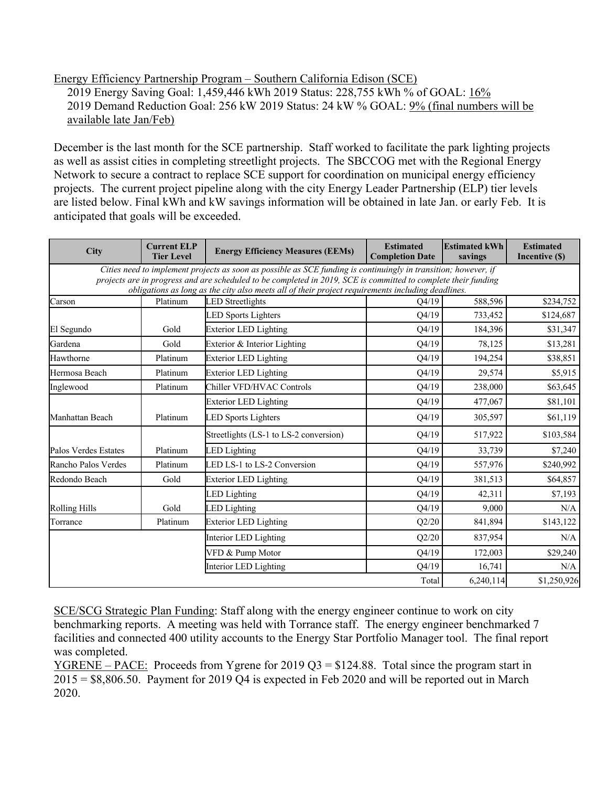Energy Efficiency Partnership Program – Southern California Edison (SCE) 2019 Energy Saving Goal: 1,459,446 kWh 2019 Status: 228,755 kWh % of GOAL:  $16\%$ 2019 Demand Reduction Goal: 256 kW 2019 Status: 24 kW % GOAL: 9% (final numbers will be available late Jan/Feb)

December is the last month for the SCE partnership. Staff worked to facilitate the park lighting projects as well as assist cities in completing streetlight projects. The SBCCOG met with the Regional Energy Network to secure a contract to replace SCE support for coordination on municipal energy efficiency projects. The current project pipeline along with the city Energy Leader Partnership (ELP) tier levels are listed below. Final kWh and kW savings information will be obtained in late Jan. or early Feb. It is anticipated that goals will be exceeded.

| City                 | <b>Current ELP</b><br><b>Tier Level</b> | <b>Energy Efficiency Measures (EEMs)</b>                                                                                                                                                                                                                                                                                               | <b>Estimated</b><br><b>Completion Date</b> | <b>Estimated kWh</b><br>savings | <b>Estimated</b><br>Incentive (\$) |
|----------------------|-----------------------------------------|----------------------------------------------------------------------------------------------------------------------------------------------------------------------------------------------------------------------------------------------------------------------------------------------------------------------------------------|--------------------------------------------|---------------------------------|------------------------------------|
|                      |                                         | Cities need to implement projects as soon as possible as SCE funding is continuingly in transition; however, if<br>projects are in progress and are scheduled to be completed in 2019, SCE is committed to complete their funding<br>obligations as long as the city also meets all of their project requirements including deadlines. |                                            |                                 |                                    |
| Carson               | Platinum                                | <b>LED</b> Streetlights                                                                                                                                                                                                                                                                                                                | O4/19                                      | 588,596                         | \$234,752                          |
|                      |                                         | <b>LED Sports Lighters</b>                                                                                                                                                                                                                                                                                                             | Q4/19                                      | 733,452                         | \$124,687                          |
| El Segundo           | Gold                                    | <b>Exterior LED Lighting</b>                                                                                                                                                                                                                                                                                                           | Q4/19                                      | 184,396                         | \$31,347                           |
| Gardena              | Gold                                    | Exterior & Interior Lighting                                                                                                                                                                                                                                                                                                           | Q4/19                                      | 78,125                          | \$13,281                           |
| Hawthorne            | Platinum                                | <b>Exterior LED Lighting</b>                                                                                                                                                                                                                                                                                                           | Q4/19                                      | 194,254                         | \$38,851                           |
| Hermosa Beach        | Platinum                                | <b>Exterior LED Lighting</b>                                                                                                                                                                                                                                                                                                           | Q4/19                                      | 29,574                          | \$5,915                            |
| Inglewood            | Platinum                                | Chiller VFD/HVAC Controls                                                                                                                                                                                                                                                                                                              | Q4/19                                      | 238,000                         | \$63,645                           |
|                      |                                         | <b>Exterior LED Lighting</b>                                                                                                                                                                                                                                                                                                           | Q4/19                                      | 477,067                         | \$81,101                           |
| Manhattan Beach      | Platinum                                | <b>LED Sports Lighters</b>                                                                                                                                                                                                                                                                                                             | Q4/19                                      | 305,597                         | \$61,119                           |
|                      |                                         | Streetlights (LS-1 to LS-2 conversion)                                                                                                                                                                                                                                                                                                 | Q4/19                                      | 517,922                         | \$103,584                          |
| Palos Verdes Estates | Platinum                                | <b>LED</b> Lighting                                                                                                                                                                                                                                                                                                                    | Q4/19                                      | 33,739                          | \$7,240                            |
| Rancho Palos Verdes  | Platinum                                | LED LS-1 to LS-2 Conversion                                                                                                                                                                                                                                                                                                            | Q4/19                                      | 557,976                         | \$240,992                          |
| Redondo Beach        | Gold                                    | <b>Exterior LED Lighting</b>                                                                                                                                                                                                                                                                                                           | Q4/19                                      | 381,513                         | \$64,857                           |
|                      |                                         | <b>LED</b> Lighting                                                                                                                                                                                                                                                                                                                    | Q4/19                                      | 42,311                          | \$7,193                            |
| <b>Rolling Hills</b> | Gold                                    | <b>LED Lighting</b>                                                                                                                                                                                                                                                                                                                    | Q4/19                                      | 9,000                           | N/A                                |
| Torrance             | Platinum                                | <b>Exterior LED Lighting</b>                                                                                                                                                                                                                                                                                                           | Q2/20                                      | 841,894                         | \$143,122                          |
|                      |                                         | Interior LED Lighting                                                                                                                                                                                                                                                                                                                  | Q2/20                                      | 837,954                         | N/A                                |
|                      |                                         | VFD & Pump Motor                                                                                                                                                                                                                                                                                                                       | Q4/19                                      | 172,003                         | \$29,240                           |
|                      |                                         | Interior LED Lighting                                                                                                                                                                                                                                                                                                                  | Q4/19                                      | 16,741                          | N/A                                |
|                      |                                         |                                                                                                                                                                                                                                                                                                                                        | Total                                      | 6,240,114                       | \$1,250,926                        |

SCE/SCG Strategic Plan Funding: Staff along with the energy engineer continue to work on city benchmarking reports. A meeting was held with Torrance staff. The energy engineer benchmarked 7 facilities and connected 400 utility accounts to the Energy Star Portfolio Manager tool. The final report was completed.

<u>YGRENE – PACE:</u> Proceeds from Ygrene for 2019 Q3 = \$124.88. Total since the program start in 2015 = \$8,806.50. Payment for 2019 Q4 is expected in Feb 2020 and will be reported out in March 2020.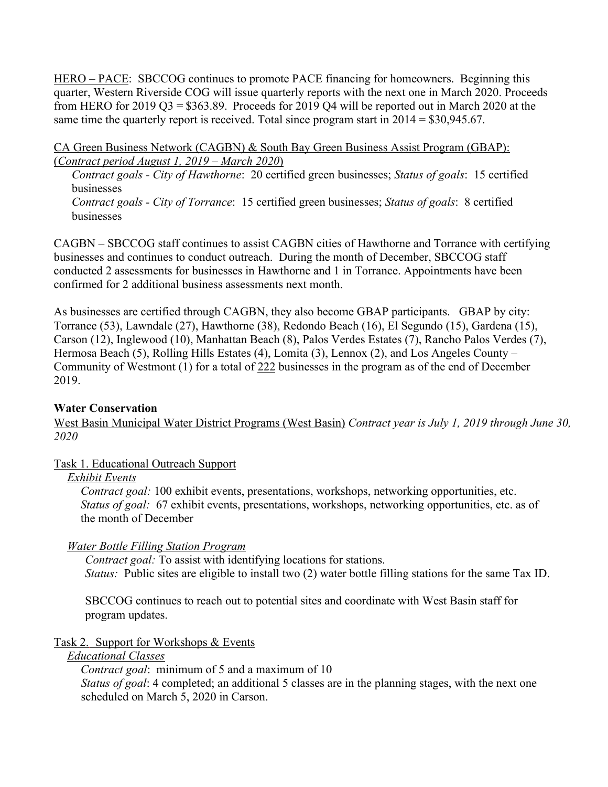HERO – PACE: SBCCOG continues to promote PACE financing for homeowners. Beginning this quarter, Western Riverside COG will issue quarterly reports with the next one in March 2020. Proceeds from HERO for 2019 Q3 =  $$363.89$ . Proceeds for 2019 Q4 will be reported out in March 2020 at the same time the quarterly report is received. Total since program start in  $2014 = $30,945.67$ .

CA Green Business Network (CAGBN) & South Bay Green Business Assist Program (GBAP): (*Contract period August 1, 2019 – March 2020*)

*Contract goals - City of Hawthorne*: 20 certified green businesses; *Status of goals*: 15 certified businesses *Contract goals - City of Torrance*: 15 certified green businesses; *Status of goals*: 8 certified

CAGBN – SBCCOG staff continues to assist CAGBN cities of Hawthorne and Torrance with certifying businesses and continues to conduct outreach. During the month of December, SBCCOG staff conducted 2 assessments for businesses in Hawthorne and 1 in Torrance. Appointments have been confirmed for 2 additional business assessments next month.

As businesses are certified through CAGBN, they also become GBAP participants. GBAP by city: Torrance (53), Lawndale (27), Hawthorne (38), Redondo Beach (16), El Segundo (15), Gardena (15), Carson (12), Inglewood (10), Manhattan Beach (8), Palos Verdes Estates (7), Rancho Palos Verdes (7), Hermosa Beach (5), Rolling Hills Estates (4), Lomita (3), Lennox (2), and Los Angeles County – Community of Westmont (1) for a total of 222 businesses in the program as of the end of December 2019.

## **Water Conservation**

businesses

West Basin Municipal Water District Programs (West Basin) *Contract year is July 1, 2019 through June 30, 2020* 

#### Task 1. Educational Outreach Support

#### *Exhibit Events*

*Contract goal:* 100 exhibit events, presentations, workshops, networking opportunities, etc. *Status of goal:* 67 exhibit events, presentations, workshops, networking opportunities, etc. as of the month of December

## *Water Bottle Filling Station Program*

*Contract goal:* To assist with identifying locations for stations. *Status:* Public sites are eligible to install two (2) water bottle filling stations for the same Tax ID.

SBCCOG continues to reach out to potential sites and coordinate with West Basin staff for program updates.

## Task 2. Support for Workshops & Events

#### *Educational Classes*

*Contract goal*: minimum of 5 and a maximum of 10 *Status of goal*: 4 completed; an additional 5 classes are in the planning stages, with the next one scheduled on March 5, 2020 in Carson.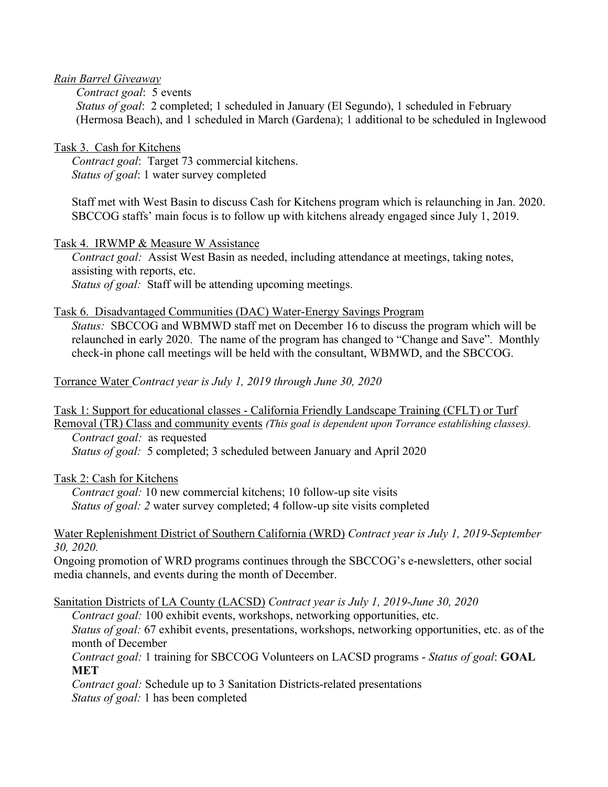#### *Rain Barrel Giveaway*

*Contract goal*: 5 events

*Status of goal*: 2 completed; 1 scheduled in January (El Segundo), 1 scheduled in February (Hermosa Beach), and 1 scheduled in March (Gardena); 1 additional to be scheduled in Inglewood

#### Task 3. Cash for Kitchens

*Contract goal*: Target 73 commercial kitchens. *Status of goal*: 1 water survey completed

Staff met with West Basin to discuss Cash for Kitchens program which is relaunching in Jan. 2020. SBCCOG staffs' main focus is to follow up with kitchens already engaged since July 1, 2019.

#### Task 4. IRWMP & Measure W Assistance

*Contract goal:* Assist West Basin as needed, including attendance at meetings, taking notes, assisting with reports, etc. *Status of goal:* Staff will be attending upcoming meetings.

#### Task 6. Disadvantaged Communities (DAC) Water-Energy Savings Program

 *Status:* SBCCOG and WBMWD staff met on December 16 to discuss the program which will be relaunched in early 2020. The name of the program has changed to "Change and Save". Monthly check-in phone call meetings will be held with the consultant, WBMWD, and the SBCCOG.

Torrance Water *Contract year is July 1, 2019 through June 30, 2020*

Task 1: Support for educational classes - California Friendly Landscape Training (CFLT) or Turf Removal (TR) Class and community events *(This goal is dependent upon Torrance establishing classes). Contract goal:* as requested

*Status of goal:* 5 completed; 3 scheduled between January and April 2020

Task 2: Cash for Kitchens

*Contract goal:* 10 new commercial kitchens; 10 follow-up site visits *Status of goal: 2* water survey completed; 4 follow-up site visits completed

#### Water Replenishment District of Southern California (WRD) *Contract year is July 1, 2019-September 30, 2020.*

Ongoing promotion of WRD programs continues through the SBCCOG's e-newsletters, other social media channels, and events during the month of December.

Sanitation Districts of LA County (LACSD) *Contract year is July 1, 2019-June 30, 2020*

*Contract goal:* 100 exhibit events, workshops, networking opportunities, etc. *Status of goal:* 67 exhibit events, presentations, workshops, networking opportunities, etc. as of the month of December

*Contract goal:* 1 training for SBCCOG Volunteers on LACSD programs - *Status of goal*: **GOAL MET**

*Contract goal:* Schedule up to 3 Sanitation Districts-related presentations *Status of goal:* 1 has been completed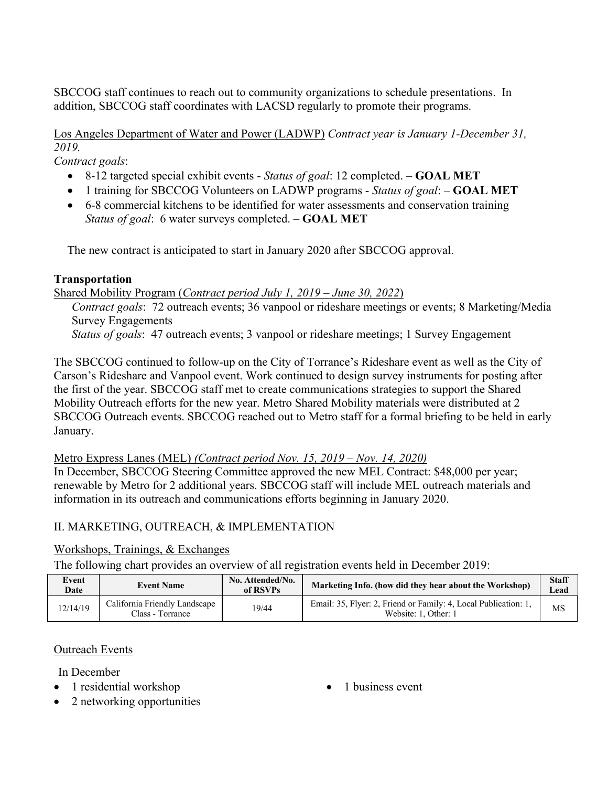SBCCOG staff continues to reach out to community organizations to schedule presentations. In addition, SBCCOG staff coordinates with LACSD regularly to promote their programs.

Los Angeles Department of Water and Power (LADWP) *Contract year is January 1-December 31, 2019.*

*Contract goals*:

- 8-12 targeted special exhibit events *Status of goal*: 12 completed. **GOAL MET**
- 1 training for SBCCOG Volunteers on LADWP programs *Status of goal*: **GOAL MET**
- 6-8 commercial kitchens to be identified for water assessments and conservation training *Status of goal*: 6 water surveys completed. – **GOAL MET**

The new contract is anticipated to start in January 2020 after SBCCOG approval.

## **Transportation**

Shared Mobility Program (*Contract period July 1, 2019 – June 30, 2022*)

*Contract goals*: 72 outreach events; 36 vanpool or rideshare meetings or events; 8 Marketing/Media Survey Engagements

*Status of goals*: 47 outreach events; 3 vanpool or rideshare meetings; 1 Survey Engagement

The SBCCOG continued to follow-up on the City of Torrance's Rideshare event as well as the City of Carson's Rideshare and Vanpool event. Work continued to design survey instruments for posting after the first of the year. SBCCOG staff met to create communications strategies to support the Shared Mobility Outreach efforts for the new year. Metro Shared Mobility materials were distributed at 2 SBCCOG Outreach events. SBCCOG reached out to Metro staff for a formal briefing to be held in early January.

Metro Express Lanes (MEL) *(Contract period Nov. 15, 2019 – Nov. 14, 2020)*

In December, SBCCOG Steering Committee approved the new MEL Contract: \$48,000 per year; renewable by Metro for 2 additional years. SBCCOG staff will include MEL outreach materials and information in its outreach and communications efforts beginning in January 2020.

# II. MARKETING, OUTREACH, & IMPLEMENTATION

# Workshops, Trainings, & Exchanges

The following chart provides an overview of all registration events held in December 2019:

| Event<br>Date | <b>Event Name</b>                                 | No. Attended/No.<br>of RSVPs | Marketing Info. (how did they hear about the Workshop)                                  | <b>Staff</b><br>Lead |
|---------------|---------------------------------------------------|------------------------------|-----------------------------------------------------------------------------------------|----------------------|
| 12/14/19      | California Friendly Landscape<br>Class - Torrance | 19/44                        | Email: 35, Flyer: 2, Friend or Family: 4, Local Publication: 1,<br>Website: 1, Other: 1 | MS                   |

# Outreach Events

In December

- 1 residential workshop
	- 2 networking opportunities

• 1 business event